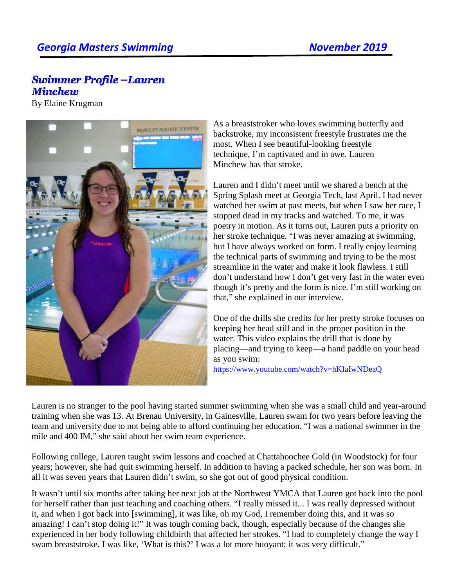## **Swimmer Profile -Lauren Minchew**

By Elaine Krugman



As a breaststroker who loves swimming butterfly and backstroke, my inconsistent freestyle frustrates me the most. When I see beautiful-looking freestyle technique, I'm captivated and in awe. Lauren Minchew has that stroke.

Lauren and I didn't meet until we shared a bench at the Spring Splash meet at Georgia Tech, last April. I had never watched her swim at past meets, but when I saw her race, I stopped dead in my tracks and watched. To me, it was poetry in motion. As it turns out, Lauren puts a priority on her stroke technique. "I was never amazing at swimming, but I have always worked on form. I really enjoy learning the technical parts of swimming and trying to be the most streamline in the water and make it look flawless. I still don't understand how I don't get very fast in the water even though it's pretty and the form is nice. I'm still working on that," she explained in our interview.

One of the drills she credits for her pretty stroke focuses on keeping her head still and in the proper position in the water. This video explains the drill that is done by placing—and trying to keep—a hand paddle on your head as you swim:

https://www.youtube.com/watch?v=hKIaIwNDeaQ

Lauren is no stranger to the pool having started summer swimming when she was a small child and year-around training when she was 13. At Brenau University, in Gainesville, Lauren swam for two years before leaving the team and university due to not being able to afford continuing her education. "I was a national swimmer in the mile and 400 IM," she said about her swim team experience.

Following college, Lauren taught swim lessons and coached at Chattahoochee Gold (in Woodstock) for four years; however, she had quit swimming herself. In addition to having a packed schedule, her son was born. In all it was seven years that Lauren didn't swim, so she got out of good physical condition.

It wasn't until six months after taking her next job at the Northwest YMCA that Lauren got back into the pool for herself rather than just teaching and coaching others. "I really missed it... I was really depressed without it, and when I got back into [swimming], it was like, oh my God, I remember doing this, and it was so amazing! I can't stop doing it!" It was tough coming back, though, especially because of the changes she experienced in her body following childbirth that affected her strokes. "I had to completely change the way I swam breaststroke. I was like, 'What is this?' I was a lot more buoyant; it was very difficult."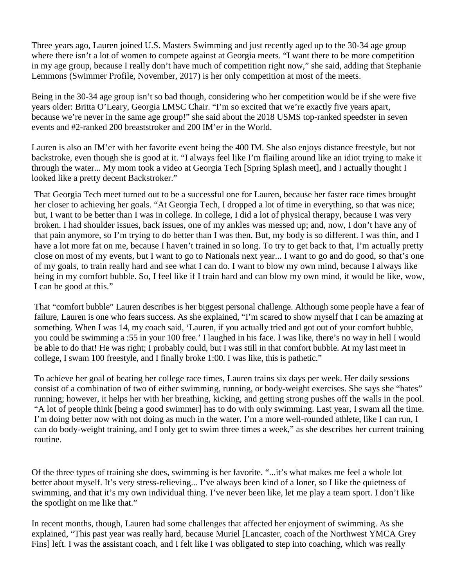Three years ago, Lauren joined U.S. Masters Swimming and just recently aged up to the 30-34 age group where there isn't a lot of women to compete against at Georgia meets. "I want there to be more competition in my age group, because I really don't have much of competition right now," she said, adding that Stephanie Lemmons (Swimmer Profile, November, 2017) is her only competition at most of the meets.

Being in the 30-34 age group isn't so bad though, considering who her competition would be if she were five years older: Britta O'Leary, Georgia LMSC Chair. "I'm so excited that we're exactly five years apart, because we're never in the same age group!" she said about the 2018 USMS top-ranked speedster in seven events and #2-ranked 200 breaststroker and 200 IM'er in the World.

Lauren is also an IM'er with her favorite event being the 400 IM. She also enjoys distance freestyle, but not backstroke, even though she is good at it. "I always feel like I'm flailing around like an idiot trying to make it through the water... My mom took a video at Georgia Tech [Spring Splash meet], and I actually thought I looked like a pretty decent Backstroker."

That Georgia Tech meet turned out to be a successful one for Lauren, because her faster race times brought her closer to achieving her goals. "At Georgia Tech, I dropped a lot of time in everything, so that was nice; but, I want to be better than I was in college. In college, I did a lot of physical therapy, because I was very broken. I had shoulder issues, back issues, one of my ankles was messed up; and, now, I don't have any of that pain anymore, so I'm trying to do better than I was then. But, my body is so different. I was thin, and I have a lot more fat on me, because I haven't trained in so long. To try to get back to that, I'm actually pretty close on most of my events, but I want to go to Nationals next year... I want to go and do good, so that's one of my goals, to train really hard and see what I can do. I want to blow my own mind, because I always like being in my comfort bubble. So, I feel like if I train hard and can blow my own mind, it would be like, wow, I can be good at this."

That "comfort bubble" Lauren describes is her biggest personal challenge. Although some people have a fear of failure, Lauren is one who fears success. As she explained, "I'm scared to show myself that I can be amazing at something. When I was 14, my coach said, 'Lauren, if you actually tried and got out of your comfort bubble, you could be swimming a :55 in your 100 free.' I laughed in his face. I was like, there's no way in hell I would be able to do that! He was right; I probably could, but I was still in that comfort bubble. At my last meet in college, I swam 100 freestyle, and I finally broke 1:00. I was like, this is pathetic."

To achieve her goal of beating her college race times, Lauren trains six days per week. Her daily sessions consist of a combination of two of either swimming, running, or body-weight exercises. She says she "hates" running; however, it helps her with her breathing, kicking, and getting strong pushes off the walls in the pool. "A lot of people think [being a good swimmer] has to do with only swimming. Last year, I swam all the time. I'm doing better now with not doing as much in the water. I'm a more well-rounded athlete, like I can run, I can do body-weight training, and I only get to swim three times a week," as she describes her current training routine.

Of the three types of training she does, swimming is her favorite. "...it's what makes me feel a whole lot better about myself. It's very stress-relieving... I've always been kind of a loner, so I like the quietness of swimming, and that it's my own individual thing. I've never been like, let me play a team sport. I don't like the spotlight on me like that."

In recent months, though, Lauren had some challenges that affected her enjoyment of swimming. As she explained, "This past year was really hard, because Muriel [Lancaster, coach of the Northwest YMCA Grey Fins] left. I was the assistant coach, and I felt like I was obligated to step into coaching, which was really